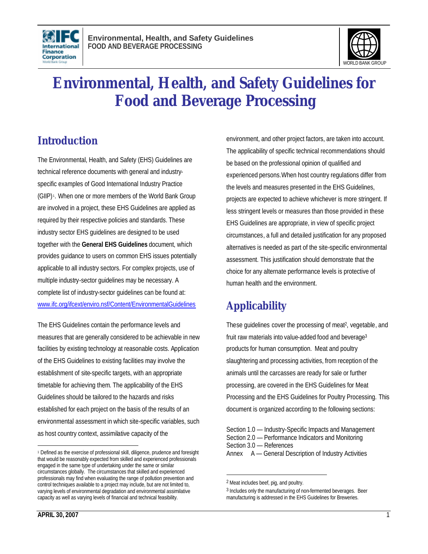



# **Environmental, Health, and Safety Guidelines for Food and Beverage Processing**

# **Introduction**

The Environmental, Health, and Safety (EHS) Guidelines are technical reference documents with general and industryspecific examples of Good International Industry Practice (GIIP) <sup>1</sup> . When one or more members of the World Bank Group are involved in a project, these EHS Guidelines are applied as required by their respective policies and standards. These industry sector EHS guidelines are designed to be used together with the **General EHS Guidelines** document, which provides guidance to users on common EHS issues potentially applicable to all industry sectors. For complex projects, use of multiple industry-sector guidelines may be necessary. A complete list of industry-sector guidelines can be found at: www.ifc.org/ifcext/enviro.nsf/Content/EnvironmentalGuidelines

The EHS Guidelines contain the performance levels and measures that are generally considered to be achievable in new facilities by existing technology at reasonable costs. Application of the EHS Guidelines to existing facilities may involve the establishment of site-specific targets, with an appropriate timetable for achieving them. The applicability of the EHS Guidelines should be tailored to the hazards and risks established for each project on the basis of the results of an environmental assessment in which site-specific variables, such as host country context, assimilative capacity of the

environment, and other project factors, are taken into account. The applicability of specific technical recommendations should be based on the professional opinion of qualified and experienced persons.When host country regulations differ from the levels and measures presented in the EHS Guidelines, projects are expected to achieve whichever is more stringent. If less stringent levels or measures than those provided in these EHS Guidelines are appropriate, in view of specific project circumstances, a full and detailed justification for any proposed alternatives is needed as part of the site-specific environmental assessment. This justification should demonstrate that the choice for any alternate performance levels is protective of human health and the environment.

# **Applicability**

These guidelines cover the processing of meat<sup>2</sup>, vegetable, and fruit raw materials into value-added food and beverage<sup>3</sup> products for human consumption. Meat and poultry slaughtering and processing activities, from reception of the animals until the carcasses are ready for sale or further processing, are covered in the EHS Guidelines for Meat Processing and the EHS Guidelines for Poultry Processing. This document is organized according to the following sections:

 $\overline{a}$ 

 $\overline{a}$ 

<sup>1</sup> Defined as the exercise of professional skill, diligence, prudence and foresight that would be reasonably expected from skilled and experienced professionals engaged in the same type of undertaking under the same or similar circumstances globally. The circumstances that skilled and experienced professionals may find when evaluating the range of pollution prevention and control techniques available to a project may include, but are not limited to, varying levels of environmental degradation and environmental assimilative capacity as well as varying levels of financial and technical feasibility.

Section 1.0 — Industry-Specific Impacts and Management Section 2.0 — Performance Indicators and Monitoring Section 3.0 — References Annex A — General Description of Industry Activities

<sup>2</sup> Meat includes beef, pig, and poultry.

<sup>&</sup>lt;sup>3</sup> Includes only the manufacturing of non-fermented beverages. Beer manufacturing is addressed in the EHS Guidelines for Breweries.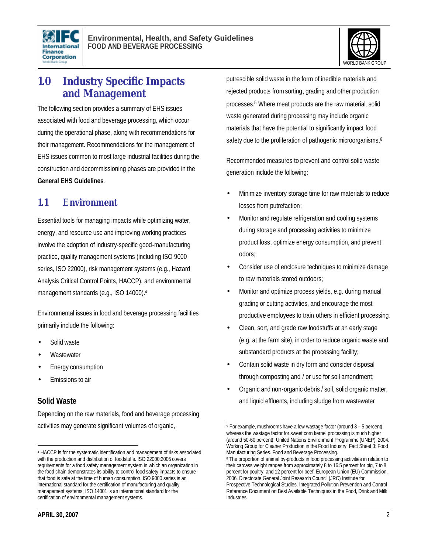



# **1.0 Industry Specific Impacts and Management**

The following section provides a summary of EHS issues associated with food and beverage processing, which occur during the operational phase, along with recommendations for their management. Recommendations for the management of EHS issues common to most large industrial facilities during the construction and decommissioning phases are provided in the **General EHS Guidelines**.

### **1.1 Environment**

Essential tools for managing impacts while optimizing water, energy, and resource use and improving working practices involve the adoption of industry-specific good-manufacturing practice, quality management systems (including ISO 9000 series, ISO 22000), risk management systems (e.g., Hazard Analysis Critical Control Points, HACCP), and environmental management standards (e.g., ISO 14000).<sup>4</sup>

Environmental issues in food and beverage processing facilities primarily include the following:

- Solid waste
- **Wastewater**
- Energy consumption
- Emissions to air

#### **Solid Waste**

 $\overline{a}$ 

Depending on the raw materials, food and beverage processing activities may generate significant volumes of organic,

putrescible solid waste in the form of inedible materials and rejected products fromsorting, grading and other production processes.<sup>5</sup> Where meat products are the raw material, solid waste generated during processing may include organic materials that have the potential to significantly impact food safety due to the proliferation of pathogenic microorganisms.<sup>6</sup>

Recommended measures to prevent and control solid waste generation include the following:

- Minimize inventory storage time for raw materials to reduce losses from putrefaction;
- Monitor and regulate refrigeration and cooling systems during storage and processing activities to minimize product loss, optimize energy consumption, and prevent odors;
- Consider use of enclosure techniques to minimize damage to raw materials stored outdoors;
- Monitor and optimize process yields, e.g. during manual grading or cutting activities, and encourage the most productive employees to train others in efficient processing.
- Clean, sort, and grade raw foodstuffs at an early stage (e.g. at the farm site), in order to reduce organic waste and substandard products at the processing facility;
- Contain solid waste in dry form and consider disposal through composting and / or use for soil amendment;
- Organic and non-organic debris / soil, solid organic matter, and liquid effluents, including sludge from wastewater

<sup>4</sup> HACCP is for the systematic identification and management of risks associated with the production and distribution of foodstuffs. ISO 22000:2005 covers requirements for a food safety management system in which an organization in the food chain demonstrates its ability to control food safety impacts to ensure that food is safe at the time of human consumption. ISO 9000 series is an international standard for the certification of manufacturing and quality management systems; ISO 14001 is an international standard for the certification of environmental management systems.

 5 For example, mushrooms have a low wastage factor (around 3 – 5 percent) whereas the wastage factor for sweet corn kernel processing is much higher (around 50-60 percent). United Nations Environment Programme (UNEP). 2004. Working Group for Cleaner Production in the Food Industry. Fact Sheet 3: Food Manufacturing Series. Food and Beverage Processing.

<sup>6</sup> The proportion of animal by-products in food processing activities in relation to their carcass weight ranges from approximately 8 to 16.5 percent for pig, 7 to 8 percent for poultry, and 12 percent for beef. European Union (EU) Commission. 2006. Directorate General Joint Research Council (JRC) Institute for Prospective Technological Studies. Integrated Pollution Prevention and Control Reference Document on Best Available Techniques in the Food, Drink and Milk **Industries**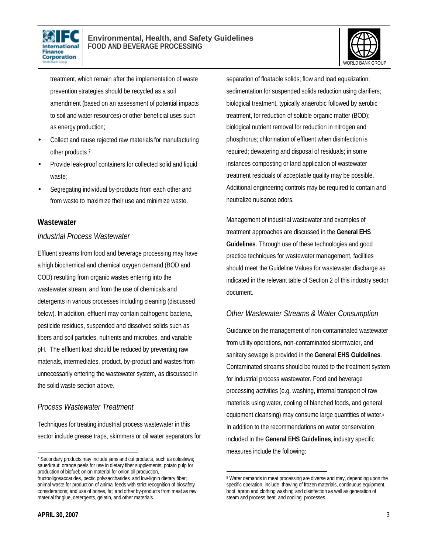



treatment, which remain after the implementation of waste prevention strategies should be recycled as a soil amendment (based on an assessment of potential impacts to soil and water resources) or other beneficial uses such as energy production;

- Collect and reuse rejected raw materials for manufacturing other products;7
- Provide leak-proof containers for collected solid and liquid waste;
- Segregating individual by-products from each other and from waste to maximize their use and minimize waste.

#### **Wastewater**

#### *Industrial Process Wastewater*

Effluent streams from food and beverage processing may have a high biochemical and chemical oxygen demand (BOD and COD) resulting from organic wastes entering into the wastewater stream, and from the use of chemicals and detergents in various processes including cleaning (discussed below). In addition, effluent may contain pathogenic bacteria, pesticide residues, suspended and dissolved solids such as fibers and soil particles, nutrients and microbes, and variable pH. The effluent load should be reduced by preventing raw materials, intermediates, product, by-product and wastes from unnecessarily entering the wastewater system, as discussed in the solid waste section above.

#### *Process Wastewater Treatment*

Techniques for treating industrial process wastewater in this sector include grease traps, skimmers or oil water separators for separation of floatable solids; flow and load equalization; sedimentation for suspended solids reduction using clarifiers; biological treatment, typically anaerobic followed by aerobic treatment, for reduction of soluble organic matter (BOD); biological nutrient removal for reduction in nitrogen and phosphorus; chlorination of effluent when disinfection is required; dewatering and disposal of residuals; in some instances composting or land application of wastewater treatment residuals of acceptable quality may be possible. Additional engineering controls may be required to contain and neutralize nuisance odors.

Management of industrial wastewater and examples of treatment approaches are discussed in the **General EHS Guidelines**. Through use of these technologies and good practice techniques for wastewater management, facilities should meet the Guideline Values for wastewater discharge as indicated in the relevant table of Section 2 of this industry sector document.

#### *Other Wastewater Streams & Water Consumption*

Guidance on the management of non-contaminated wastewater from utility operations, non-contaminated stormwater, and sanitary sewage is provided in the **General EHS Guidelines**. Contaminated streams should be routed to the treatment system for industrial process wastewater. Food and beverage processing activities (e.g. washing, internal transport of raw materials using water, cooling of blanched foods, and general equipment cleansing) may consume large quantities of water.<sup>8</sup> In addition to the recommendations on water conservation included in the **General EHS Guidelines**, industry specific measures include the following:

l

<sup>7</sup> Secondary products may include jams and cut products, such as coleslaws; sauerkraut; orange peels for use in dietary fiber supplements; potato pulp for production of biofuel; onion material for onion oil production, fructooligosaccarides, pectic polysaccharides, and low-lignin dietary fiber; animal waste for production of animal feeds with strict recognition of biosafety considerations; and use of bones, fat, and other by-products from meat as raw material for glue, detergents, gelatin, and other materials.

<sup>1</sup> <sup>8</sup> Water demands in meat processing are diverse and may, depending upon the specific operation, include thawing of frozen materials, continuous equipment, boot, apron and clothing washing and disinfection as well as generation of steam and process heat, and cooling processes.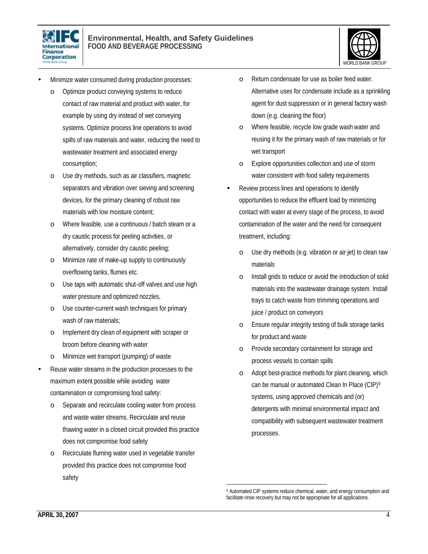



- Minimize water consumed during production processes:
	- o Optimize product conveying systems to reduce contact of raw material and product with water, for example by using dry instead of wet conveying systems. Optimize process line operations to avoid spills of raw materials and water, reducing the need to wastewater treatment and associated energy consumption;
	- o Use dry methods, such as air classifiers, magnetic separators and vibration over sieving and screening devices, for the primary cleaning of robust raw materials with low moisture content;
	- o Where feasible, use a continuous / batch steam or a dry caustic process for peeling activities, or alternatively, consider dry caustic peeling;
	- o Minimize rate of make-up supply to continuously overflowing tanks, flumes etc.
	- o Use taps with automatic shut-off valves and use high water pressure and optimized nozzles,
	- o Use counter-current wash techniques for primary wash of raw materials;
	- o Implement dry clean of equipment with scraper or broom before cleaning with water
	- o Minimize wet transport (pumping) of waste
- Reuse water streams in the production processes to the maximum extent possible while avoiding water contamination or compromising food safety:
	- o Separate and recirculate cooling water from process and waste water streams. Recirculate and reuse thawing water in a closed circuit provided this practice does not compromise food safety
	- o Recirculate fluming water used in vegetable transfer provided this practice does not compromise food safety
- o Return condensate for use as boiler feed water. Alternative uses for condensate include as a sprinkling agent for dust suppression or in general factory wash down (e.g. cleaning the floor)
- o Where feasible, recycle low grade wash water and reusing it for the primary wash of raw materials or for wet transport
- o Explore opportunities collection and use of storm water consistent with food safety requirements
- Review process lines and operations to identify opportunities to reduce the effluent load by minimizing contact with water at every stage of the process, to avoid contamination of the water and the need for consequent treatment, including:
	- Use dry methods (e.g. vibration or air jet) to clean raw materials
	- o Install grids to reduce or avoid the introduction of solid materials into the wastewater drainage system. Install trays to catch waste from trimming operations and juice / product on conveyors
	- o Ensure regular integrity testing of bulk storage tanks for product and waste
	- o Provide secondary containment for storage and process vessels to contain spills
	- o Adopt best-practice methods for plant cleaning, which can be manual or automated Clean In Place (CIP)<sup>9</sup> systems, using approved chemicals and (or) detergents with minimal environmental impact and compatibility with subsequent wastewater treatment processes.

1

<sup>9</sup> Automated CIP systems reduce chemical, water, and energy consumption and facilitate rinse recovery but may not be appropriate for all applications.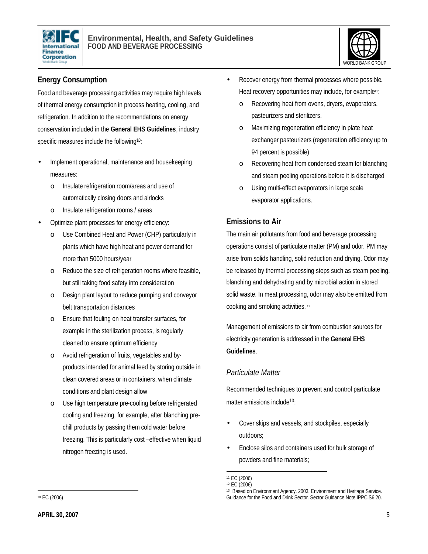



### **Energy Consumption**

Food and beverage processing activities may require high levels of thermal energy consumption in process heating, cooling, and refrigeration. In addition to the recommendations on energy conservation included in the **General EHS Guidelines**, industry specific measures include the following**10**:

- Implement operational, maintenance and housekeeping measures:
	- o Insulate refrigeration room/areas and use of automatically closing doors and airlocks
	- o Insulate refrigeration rooms / areas
- Optimize plant processes for energy efficiency:
	- o Use Combined Heat and Power (CHP) particularly in plants which have high heat and power demand for more than 5000 hours/year
	- o Reduce the size of refrigeration rooms where feasible, but still taking food safety into consideration
	- o Design plant layout to reduce pumping and conveyor belt transportation distances
	- o Ensure that fouling on heat transfer surfaces, for example in the sterilization process, is regularly cleaned to ensure optimum efficiency
	- o Avoid refrigeration of fruits, vegetables and byproducts intended for animal feed by storing outside in clean covered areas or in containers, when climate conditions and plant design allow
	- o Use high temperature pre-cooling before refrigerated cooling and freezing, for example, after blanching prechill products by passing them cold water before freezing. This is particularly cost –effective when liquid nitrogen freezing is used.
- Recover energy from thermal processes where possible. Heat recovery opportunities may include, for example<sup>11</sup>:
	- o Recovering heat from ovens, dryers, evaporators, pasteurizers and sterilizers.
	- o Maximizing regeneration efficiency in plate heat exchanger pasteurizers (regeneration efficiency up to 94 percent is possible)
	- o Recovering heat from condensed steam for blanching and steam peeling operations before it is discharged
	- o Using multi-effect evaporators in large scale evaporator applications.

#### **Emissions to Air**

The main air pollutants from food and beverage processing operations consist of particulate matter (PM) and odor. PM may arise from solids handling, solid reduction and drying. Odor may be released by thermal processing steps such as steam peeling, blanching and dehydrating and by microbial action in stored solid waste. In meat processing, odor may also be emitted from cooking and smoking activities. <sup>12</sup>

Management of emissions to air from combustion sources for electricity generation is addressed in the **General EHS Guidelines**.

#### *Particulate Matter*

Recommended techniques to prevent and control particulate matter emissions include<sup>13</sup>:

- Cover skips and vessels, and stockpiles, especially outdoors;
- Enclose silos and containers used for bulk storage of powders and fine materials;

1

 $\overline{a}$ 

<sup>11</sup> EC (2006)

<sup>12</sup> EC (2006)

<sup>13</sup> Based on Environment Agency. 2003. Environment and Heritage Service. Guidance for the Food and Drink Sector. Sector Guidance Note IPPC S6.20.

<sup>10</sup> EC (2006)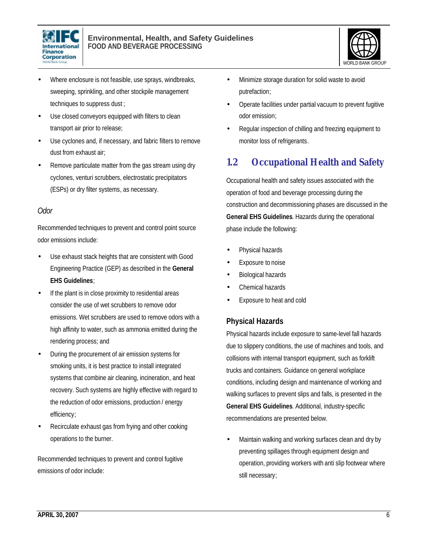



- Where enclosure is not feasible, use sprays, windbreaks, sweeping, sprinkling, and other stockpile management techniques to suppress dust ;
- Use closed conveyors equipped with filters to clean transport air prior to release;
- Use cyclones and, if necessary, and fabric filters to remove dust from exhaust air;
- Remove particulate matter from the gas stream using dry cyclones, venturi scrubbers, electrostatic precipitators (ESPs) or dry filter systems, as necessary.

#### *Odor*

Recommended techniques to prevent and control point source odor emissions include:

- Use exhaust stack heights that are consistent with Good Engineering Practice (GEP) as described in the **General EHS Guidelines**;
- If the plant is in close proximity to residential areas consider the use of wet scrubbers to remove odor emissions. Wet scrubbers are used to remove odors with a high affinity to water, such as ammonia emitted during the rendering process; and
- During the procurement of air emission systems for smoking units, it is best practice to install integrated systems that combine air cleaning, incineration, and heat recovery. Such systems are highly effective with regard to the reduction of odor emissions, production / energy efficiency;
- Recirculate exhaust gas from frying and other cooking operations to the burner.

Recommended techniques to prevent and control fugitive emissions of odor include:

- Minimize storage duration for solid waste to avoid putrefaction;
- Operate facilities under partial vacuum to prevent fugitive odor emission;
- Regular inspection of chilling and freezing equipment to monitor loss of refrigerants.

## **1.2 Occupational Health and Safety**

Occupational health and safety issues associated with the operation of food and beverage processing during the construction and decommissioning phases are discussed in the **General EHS Guidelines**. Hazards during the operational phase include the following:

- Physical hazards
- Exposure to noise
- Biological hazards
- Chemical hazards
- Exposure to heat and cold

#### **Physical Hazards**

Physical hazards include exposure to same-level fall hazards due to slippery conditions, the use of machines and tools, and collisions with internal transport equipment, such as forklift trucks and containers. Guidance on general workplace conditions, including design and maintenance of working and walking surfaces to prevent slips and falls, is presented in the **General EHS Guidelines**. Additional, industry-specific recommendations are presented below.

• Maintain walking and working surfaces clean and dry by preventing spillages through equipment design and operation, providing workers with anti slip footwear where still necessary;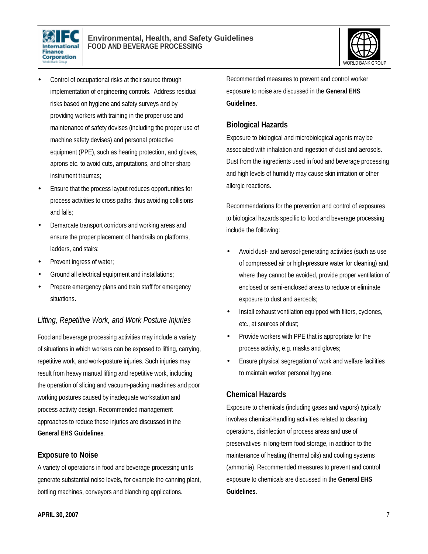



- Control of occupational risks at their source through implementation of engineering controls. Address residual risks based on hygiene and safety surveys and by providing workers with training in the proper use and maintenance of safety devises (including the proper use of machine safety devises) and personal protective equipment (PPE), such as hearing protection, and gloves, aprons etc. to avoid cuts, amputations, and other sharp instrument traumas;
- Ensure that the process layout reduces opportunities for process activities to cross paths, thus avoiding collisions and falls;
- Demarcate transport corridors and working areas and ensure the proper placement of handrails on platforms, ladders, and stairs;
- Prevent ingress of water;
- Ground all electrical equipment and installations;
- Prepare emergency plans and train staff for emergency situations.

#### *Lifting, Repetitive Work, and Work Posture Injuries*

Food and beverage processing activities may include a variety of situations in which workers can be exposed to lifting, carrying, repetitive work, and work-posture injuries. Such injuries may result from heavy manual lifting and repetitive work, including the operation of slicing and vacuum-packing machines and poor working postures caused by inadequate workstation and process activity design. Recommended management approaches to reduce these injuries are discussed in the **General EHS Guidelines**.

#### **Exposure to Noise**

A variety of operations in food and beverage processing units generate substantial noise levels, for example the canning plant, bottling machines, conveyors and blanching applications.

Recommended measures to prevent and control worker exposure to noise are discussed in the **General EHS Guidelines**.

### **Biological Hazards**

Exposure to biological and microbiological agents may be associated with inhalation and ingestion of dust and aerosols. Dust from the ingredients used in food and beverage processing and high levels of humidity may cause skin irritation or other allergic reactions.

Recommendations for the prevention and control of exposures to biological hazards specific to food and beverage processing include the following:

- Avoid dust- and aerosol-generating activities (such as use of compressed air or high-pressure water for cleaning) and, where they cannot be avoided, provide proper ventilation of enclosed or semi-enclosed areas to reduce or eliminate exposure to dust and aerosols;
- Install exhaust ventilation equipped with filters, cyclones, etc., at sources of dust;
- Provide workers with PPE that is appropriate for the process activity, e.g. masks and gloves;
- Ensure physical segregation of work and welfare facilities to maintain worker personal hygiene.

### **Chemical Hazards**

Exposure to chemicals (including gases and vapors) typically involves chemical-handling activities related to cleaning operations, disinfection of process areas and use of preservatives in long-term food storage, in addition to the maintenance of heating (thermal oils) and cooling systems (ammonia). Recommended measures to prevent and control exposure to chemicals are discussed in the **General EHS Guidelines**.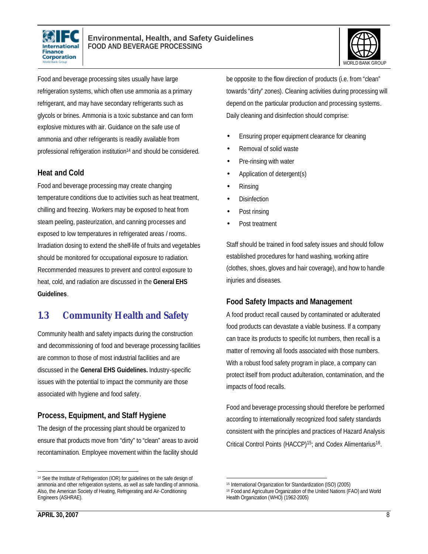



Food and beverage processing sites usually have large refrigeration systems, which often use ammonia as a primary refrigerant, and may have secondary refrigerants such as glycols or brines. Ammonia is a toxic substance and can form explosive mixtures with air. Guidance on the safe use of ammonia and other refrigerants is readily available from professional refrigeration institution<sup>14</sup> and should be considered.

#### **Heat and Cold**

Food and beverage processing may create changing temperature conditions due to activities such as heat treatment, chilling and freezing. Workers may be exposed to heat from steam peeling, pasteurization, and canning processes and exposed to low temperatures in refrigerated areas / rooms. Irradiation dosing to extend the shelf-life of fruits and vegetables should be monitored for occupational exposure to radiation. Recommended measures to prevent and control exposure to heat, cold, and radiation are discussed in the **General EHS Guidelines**.

### **1.3 Community Health and Safety**

Community health and safety impacts during the construction and decommissioning of food and beverage processing facilities are common to those of most industrial facilities and are discussed in the **General EHS Guidelines.** Industry-specific issues with the potential to impact the community are those associated with hygiene and food safety.

#### **Process, Equipment, and Staff Hygiene**

The design of the processing plant should be organized to ensure that products move from "dirty" to "clean" areas to avoid recontamination. Employee movement within the facility should be opposite to the flow direction of products (i.e. from "clean" towards "dirty" zones). Cleaning activities during processing will depend on the particular production and processing systems. Daily cleaning and disinfection should comprise:

- Ensuring proper equipment clearance for cleaning
- Removal of solid waste
- Pre-rinsing with water
- Application of detergent(s)
- Rinsing
- **Disinfection**
- Post rinsing
- Post treatment

Staff should be trained in food safety issues and should follow established procedures for hand washing, working attire (clothes, shoes, gloves and hair coverage), and how to handle injuries and diseases.

#### **Food Safety Impacts and Management**

A food product recall caused by contaminated or adulterated food products can devastate a viable business. If a company can trace its products to specific lot numbers, then recall is a matter of removing all foods associated with those numbers. With a robust food safety program in place, a company can protect itself from product adulteration, contamination, and the impacts of food recalls.

Food and beverage processing should therefore be performed according to internationally recognized food safety standards consistent with the principles and practices of Hazard Analysis Critical Control Points (HACCP)<sup>15</sup>; and Codex Alimentarius<sup>16</sup>.

 $\overline{a}$ <sup>14</sup> See the Institute of Refrigeration (IOR) for guidelines on the safe design of ammonia and other refrigeration systems, as well as safe handling of ammonia. Also, the American Society of Heating, Refrigerating and Air-Conditioning Engineers (ASHRAE).

<sup>1</sup> <sup>15</sup> International Organization for Standardization (ISO) (2005)

<sup>16</sup> Food and Agriculture Organization of the United Nations (FAO) and World Health Organization (WHO) (1962-2005)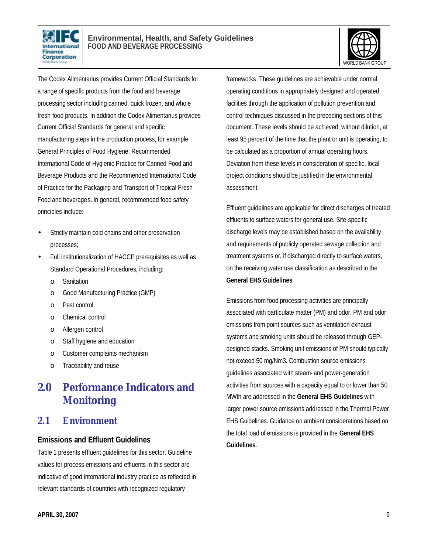



The Codex Alimentarius provides Current Official Standards for a range of specific products from the food and beverage processing sector including canned, quick frozen, and whole fresh food products. In addition the Codex Alimentarius provides Current Official Standards for general and specific manufacturing steps in the production process, for example General Principles of Food Hygiene, Recommended International Code of Hygienic Practice for Canned Food and Beverage Products and the Recommended International Code of Practice for the Packaging and Transport of Tropical Fresh Food and beverages. In general, recommended food safety principles include:

- Strictly maintain cold chains and other preservation processes;
- Full institutionalization of HACCP prerequisites as well as Standard Operational Procedures, including:
	- o Sanitation
	- o Good Manufacturing Practice (GMP)
	- o Pest control
	- o Chemical control
	- o Allergen control
	- o Staff hygiene and education
	- o Customer complaints mechanism
	- o Traceability and reuse

# **2.0 Performance Indicators and Monitoring**

### **2.1 Environment**

#### **Emissions and Effluent Guidelines**

Table 1 presents effluent guidelines for this sector. Guideline values for process emissions and effluents in this sector are indicative of good international industry practice as reflected in relevant standards of countries with recognized regulatory

frameworks. These guidelines are achievable under normal operating conditions in appropriately designed and operated facilities through the application of pollution prevention and control techniques discussed in the preceding sections of this document. These levels should be achieved, without dilution, at least 95 percent of the time that the plant or unit is operating, to be calculated as a proportion of annual operating hours. Deviation from these levels in consideration of specific, local project conditions should be justified in the environmental assessment.

Effluent guidelines are applicable for direct discharges of treated effluents to surface waters for general use. Site-specific discharge levels may be established based on the availability and requirements of publicly operated sewage collection and treatment systems or, if discharged directly to surface waters, on the receiving water use classification as described in the **General EHS Guidelines**.

Emissions from food processing activities are principally associated with particulate matter (PM) and odor. PM and odor emissions from point sources such as ventilation exhaust systems and smoking units should be released through GEPdesigned stacks. Smoking unit emissions of PM should typically not exceed 50 mg/Nm3. Combustion source emissions guidelines associated with steam- and power-generation activities from sources with a capacity equal to or lower than 50 MWth are addressed in the **General EHS Guidelines** with larger power source emissions addressed in the Thermal Power EHS Guidelines. Guidance on ambient considerations based on the total load of emissions is provided in the **General EHS Guidelines**.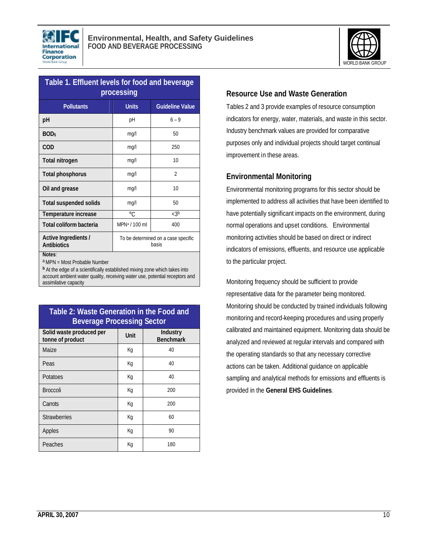



| Table 1. Effluent levels for food and beverage<br>processing |                                              |                        |  |  |
|--------------------------------------------------------------|----------------------------------------------|------------------------|--|--|
| <b>Pollutants</b>                                            | <b>Units</b>                                 | <b>Guideline Value</b> |  |  |
| рH                                                           | рH                                           | $6 - 9$                |  |  |
| BOD <sub>5</sub>                                             | mq/l                                         | 50                     |  |  |
| COD                                                          | mq/l                                         | 250                    |  |  |
| Total nitrogen                                               | mq/l                                         | 10                     |  |  |
| <b>Total phosphorus</b>                                      | mq/l                                         | $\mathfrak{D}$         |  |  |
| Oil and grease                                               | mq/l                                         | 10                     |  |  |
| <b>Total suspended solids</b>                                | mg/l                                         | 50                     |  |  |
| Temperature increase                                         | $\circ$ C                                    | < 3b                   |  |  |
| Total coliform bacteria                                      | MPN <sup>a</sup> / 100 ml                    | 400                    |  |  |
| Active Ingredients /<br><b>Antibiotics</b>                   | To be determined on a case specific<br>basis |                        |  |  |
| Notes:                                                       |                                              |                        |  |  |

a MPN = Most Probable Number

**b** At the edge of a scientifically established mixing zone which takes into account ambient water quality, receiving water use, potential receptors and assimilative capacity

#### **Table 2: Waste Generation in the Food and Beverage Processing Sector**

| Solid waste produced per<br>tonne of product | Unit | <b>Industry</b><br><b>Benchmark</b> |
|----------------------------------------------|------|-------------------------------------|
| Maize                                        | Kg   | 40                                  |
| Peas                                         | Kg   | 40                                  |
| Potatoes                                     | Kg   | 40                                  |
| <b>Broccoli</b>                              | Kg   | 200                                 |
| Carrots                                      | Kg   | 200                                 |
| <b>Strawberries</b>                          | Kg   | 60                                  |
| Apples                                       | Kg   | 90                                  |
| Peaches                                      | Кg   | 180                                 |

#### **Resource Use and Waste Generation**

Tables 2 and 3 provide examples of resource consumption indicators for energy, water, materials, and waste in this sector. Industry benchmark values are provided for comparative purposes only and individual projects should target continual improvement in these areas.

#### **Environmental Monitoring**

Environmental monitoring programs for this sector should be implemented to address all activities that have been identified to have potentially significant impacts on the environment, during normal operations and upset conditions. Environmental monitoring activities should be based on direct or indirect indicators of emissions, effluents, and resource use applicable to the particular project.

Monitoring frequency should be sufficient to provide representative data for the parameter being monitored. Monitoring should be conducted by trained individuals following monitoring and record-keeping procedures and using properly calibrated and maintained equipment. Monitoring data should be analyzed and reviewed at regular intervals and compared with the operating standards so that any necessary corrective actions can be taken. Additional guidance on applicable sampling and analytical methods for emissions and effluents is provided in the **General EHS Guidelines**.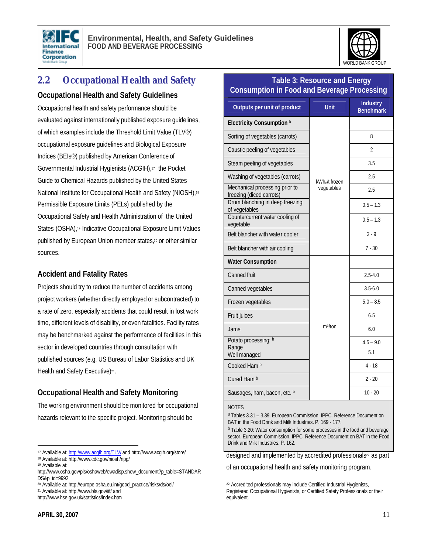



# **2.2 Occupational Health and Safety**

#### **Occupational Health and Safety Guidelines**

Occupational health and safety performance should be evaluated against internationally published exposure guidelines, of which examples include the Threshold Limit Value (TLV®) occupational exposure guidelines and Biological Exposure Indices (BEIs®) published by American Conference of Governmental Industrial Hygienists (ACGIH),17 the Pocket Guide to Chemical Hazards published by the United States National Institute for Occupational Health and Safety (NIOSH),<sup>18</sup> Permissible Exposure Limits (PELs) published by the Occupational Safety and Health Administration of the United States (OSHA),<sup>19</sup> Indicative Occupational Exposure Limit Values published by European Union member states,20 or other similar sources.

#### **Accident and Fatality Rates**

Projects should try to reduce the number of accidents among project workers (whether directly employed or subcontracted) to a rate of zero, especially accidents that could result in lost work time, different levels of disability, or even fatalities. Facility rates may be benchmarked against the performance of facilities in this sector in developed countries through consultation with published sources (e.g. US Bureau of Labor Statistics and UK Health and Safety Executive)<sup>21</sup>.

### **Occupational Health and Safety Monitoring**

The working environment should be monitored for occupational hazards relevant to the specific project. Monitoring should be

 $\overline{a}$ 

#### **Table 3: Resource and Energy Consumption in Food and Beverage Processing**

| Outputs per unit of product                                | Unit                                     | <b>Industry</b><br><b>Benchmark</b> |
|------------------------------------------------------------|------------------------------------------|-------------------------------------|
| <b>Electricity Consumption a</b>                           |                                          |                                     |
| Sorting of vegetables (carrots)                            |                                          | 8                                   |
| Caustic peeling of vegetables                              | kWh <sub>e</sub> /t frozen<br>vegetables | $\overline{2}$                      |
| Steam peeling of vegetables                                |                                          | 3.5                                 |
| Washing of vegetables (carrots)                            |                                          | 2.5                                 |
| Mechanical processing prior to<br>freezing (diced carrots) |                                          | 2.5                                 |
| Drum blanching in deep freezing<br>of vegetables           |                                          | $0.5 - 1.3$                         |
| Countercurrent water cooling of<br>vegetable               |                                          | $0.5 - 1.3$                         |
| Belt blancher with water cooler                            |                                          | $2 - 9$                             |
| Belt blancher with air cooling                             |                                          | $7 - 30$                            |
| <b>Water Consumption</b>                                   |                                          |                                     |
| Canned fruit                                               | m <sup>3</sup> /ton                      | $2.5 - 4.0$                         |
| Canned vegetables                                          |                                          | $3.5 - 6.0$                         |
| Frozen vegetables                                          |                                          | $5.0 - 8.5$                         |
| Fruit juices                                               |                                          | 6.5                                 |
| Jams                                                       |                                          | 6.0                                 |
| Potato processing: b<br>Range                              |                                          | $4.5 - 9.0$                         |
| Well managed                                               |                                          | 5.1                                 |
| Cooked Ham b                                               |                                          | $4 - 18$                            |
| Cured Ham b                                                |                                          | $2 - 20$                            |
| Sausages, ham, bacon, etc. b                               |                                          | $10 - 20$                           |

#### NOTES

a Tables 3.31 - 3.39. European Commission. IPPC. Reference Document on BAT in the Food Drink and Milk Industries. P. 169 - 177.

<sup>b</sup> Table 3.20: Water consumption for some processes in the food and beverage sector. European Commission. IPPC. Reference Document on BAT in the Food Drink and Milk Industries. P. 162.

designed and implemented by accredited professionals<sup>22</sup> as part

of an occupational health and safety monitoring program.

<sup>17</sup> Available at: http://www.acgih.org/TLV/ and http://www.acgih.org/store/

<sup>18</sup> Available at: http://www.cdc.gov/niosh/npg/

<sup>19</sup> Available at:

http://www.osha.gov/pls/oshaweb/owadisp.show\_document?p\_table=STANDAR DS&p\_id=9992

<sup>20</sup> Available at: http://europe.osha.eu.int/good\_practice/risks/ds/oel/

<sup>21</sup> Available at: http://www.bls.gov/iif/ and

http://www.hse.gov.uk/statistics/index.htm

 $\overline{a}$ <sup>22</sup> Accredited professionals may include Certified Industrial Hygienists, Registered Occupational Hygienists, or Certified Safety Professionals or their equivalent.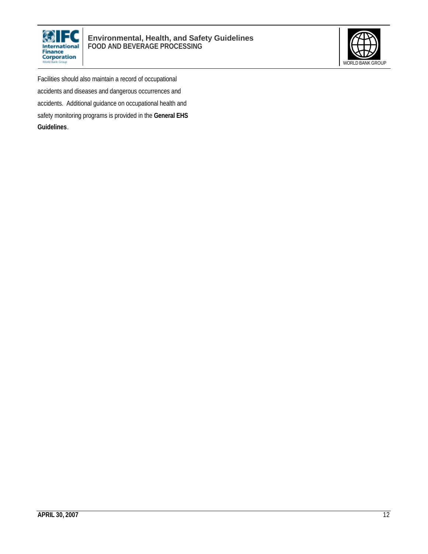



Facilities should also maintain a record of occupational accidents and diseases and dangerous occurrences and accidents. Additional guidance on occupational health and safety monitoring programs is provided in the **General EHS Guidelines**.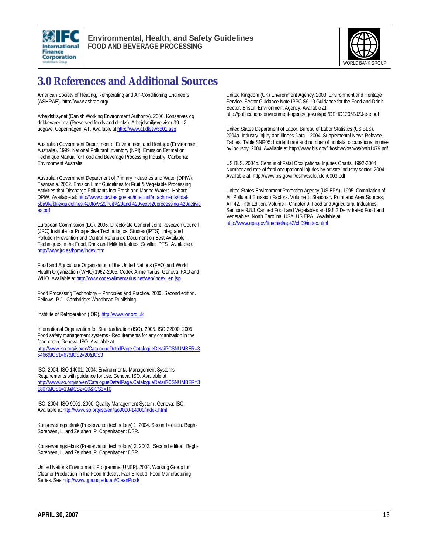



# **3.0 References and Additional Sources**

American Society of Heating, Refrigerating and Air-Conditioning Engineers (ASHRAE). http://www.ashrae.org/

Arbejdstilsynet (Danish Working Environment Authority). 2006. Konserves og drikkevarer mv. (Preserved foods and drinks). Arbejdsmiljøvejviser 39 – 2. udgave. Copenhagen: AT. Available at http://www.at.dk/sw5801.asp

Australian Government Department of Environment and Heritage (Environment Australia). 1999. National Pollutant Inventory (NPI). Emission Estimation Technique Manual for Food and Beverage Processing Industry. Canberra: Environment Australia.

Australian Government Department of Primary Industries and Water (DPIW). Tasmania. 2002. Emisión Limit Guidelines for Fruit & Vegetable Processing Activities that Discharge Pollutants into Fresh and Marine Waters. Hobart: DPIW. Available at: http://www.dpiw.tas.gov.au/inter.nsf/attachments/cdat-5ba9fv/\$file/guidelines%20for%20fruit%20and%20veg%20processing%20activiti es.pdf

European Commission (EC). 2006. Directorate General Joint Research Council (JRC) Institute for Prospective Technological Studies (IPTS). Integrated Pollution Prevention and Control Reference Document on Best Available Techniques in the Food, Drink and Milk Industries. Seville: IPTS. Available at http://www.jrc.es/home/index.htm

Food and Agriculture Organization of the United Nations (FAO) and World Health Organization (WHO).1962-2005. Codex Alimentarius. Geneva: FAO and WHO. Available at http://www.codexalimentarius.net/web/index\_en.jsp

Food Processing Technology – Principles and Practice. 2000. Second edition. Fellows, P.J. Cambridge: Woodhead Publishing.

Institute of Refrigeration (IOR). http://www.ior.org.uk

International Organization for Standardization (ISO). 2005. ISO 22000: 2005: Food safety management systems - Requirements for any organization in the food chain. Geneva: ISO. Available at http://www.iso.org/iso/en/CatalogueDetailPage.CatalogueDetail?CSNUMBER=3 5466&ICS1=67&ICS2=20&ICS3

ISO. 2004. ISO 14001: 2004: Environmental Management Systems - Requirements with guidance for use. Geneva: ISO. Available at http://www.iso.org/iso/en/CatalogueDetailPage.CatalogueDetail?CSNUMBER=3 1807&ICS1=13&ICS2=20&ICS3=10

ISO. 2004. ISO 9001: 2000: Quality Management System. Geneva: ISO. Available at http://www.iso.org/iso/en/iso9000-14000/index.html

Konserveringsteknik (Preservation technology) 1. 2004. Second edition. Bøgh-Sørensen, L. and Zeuthen, P. Copenhagen: DSR.

Konserveringsteknik (Preservation technology) 2. 2002. Second edition. Bøgh-Sørensen, L. and Zeuthen, P. Copenhagen: DSR.

United Nations Environment Programme (UNEP). 2004. Working Group for Cleaner Production in the Food Industry. Fact Sheet 3: Food Manufacturing Series. See http://www.gpa.uq.edu.au/CleanProd/

United Kingdom (UK) Environment Agency. 2003. Environment and Heritage Service. Sector Guidance Note IPPC S6.10 Guidance for the Food and Drink Sector. Bristol: Environment Agency. Available at http://publications.environment-agency.gov.uk/pdf/GEHO1205BJZJ-e-e.pdf

United States Department of Labor, Bureau of Labor Statistics (US BLS). 2004a. Industry Injury and Illness Data – 2004. Supplemental News Release Tables. Table SNR05: Incident rate and number of nonfatal occupational injuries by industry, 2004. Available at http://www.bls.gov/iif/oshwc/osh/os/ostb1479.pdf

US BLS. 2004b. Census of Fatal Occupational Injuries Charts, 1992-2004. Number and rate of fatal occupational injuries by private industry sector, 2004. Available at: http://www.bls.gov/iif/oshwc/cfoi/cfch0003.pdf

United States Environment Protection Agency (US EPA). 1995. Compilation of Air Pollutant Emission Factors. Volume 1: Stationary Point and Area Sources, AP 42, Fifth Edition, Volume I. Chapter 9: Food and Agricultural Industries. Sections 9.8.1 Canned Food and Vegetables and 9.8.2 Dehydrated Food and Vegetables. North Carolina, USA: US EPA. Available at http://www.epa.gov/ttn/chief/ap42/ch09/index.html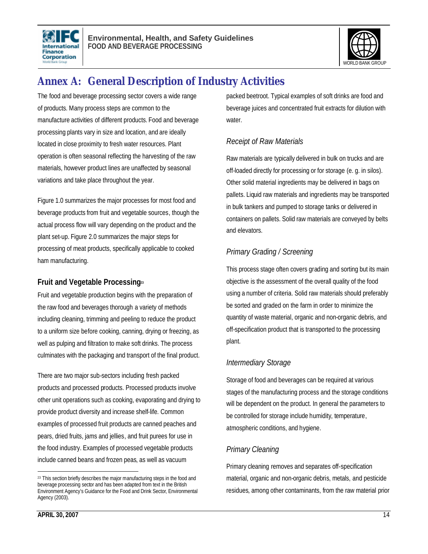



# **Annex A: General Description of Industry Activities**

The food and beverage processing sector covers a wide range of products. Many process steps are common to the manufacture activities of different products. Food and beverage processing plants vary in size and location, and are ideally located in close proximity to fresh water resources. Plant operation is often seasonal reflecting the harvesting of the raw materials, however product lines are unaffected by seasonal variations and take place throughout the year.

Figure 1.0 summarizes the major processes for most food and beverage products from fruit and vegetable sources, though the actual process flow will vary depending on the product and the plant set-up. Figure 2.0 summarizes the major steps for processing of meat products, specifically applicable to cooked ham manufacturing.

#### **Fruit and Vegetable Processing<sup>23</sup>**

Fruit and vegetable production begins with the preparation of the raw food and beverages thorough a variety of methods including cleaning, trimming and peeling to reduce the product to a uniform size before cooking, canning, drying or freezing, as well as pulping and filtration to make soft drinks. The process culminates with the packaging and transport of the final product.

There are two major sub-sectors including fresh packed products and processed products. Processed products involve other unit operations such as cooking, evaporating and drying to provide product diversity and increase shelf-life. Common examples of processed fruit products are canned peaches and pears, dried fruits, jams and jellies, and fruit purees for use in the food industry. Examples of processed vegetable products include canned beans and frozen peas, as well as vacuum

packed beetroot. Typical examples of soft drinks are food and beverage juices and concentrated fruit extracts for dilution with water.

### *Receipt of Raw Materials*

Raw materials are typically delivered in bulk on trucks and are off-loaded directly for processing or for storage (e. g. in silos). Other solid material ingredients may be delivered in bags on pallets. Liquid raw materials and ingredients may be transported in bulk tankers and pumped to storage tanks or delivered in containers on pallets. Solid raw materials are conveyed by belts and elevators.

### *Primary Grading / Screening*

This process stage often covers grading and sorting but its main objective is the assessment of the overall quality of the food using a number of criteria. Solid raw materials should preferably be sorted and graded on the farm in order to minimize the quantity of waste material, organic and non-organic debris, and off-specification product that is transported to the processing plant.

### *Intermediary Storage*

Storage of food and beverages can be required at various stages of the manufacturing process and the storage conditions will be dependent on the product. In general the parameters to be controlled for storage include humidity, temperature, atmospheric conditions, and hygiene.

### *Primary Cleaning*

Primary cleaning removes and separates off-specification material, organic and non-organic debris, metals, and pesticide residues, among other contaminants, from the raw material prior

 $\overline{a}$ <sup>23</sup> This section briefly describes the major manufacturing steps in the food and beverage processing sector and has been adapted from text in the British Environment Agency's Guidance for the Food and Drink Sector, Environmental Agency (2003).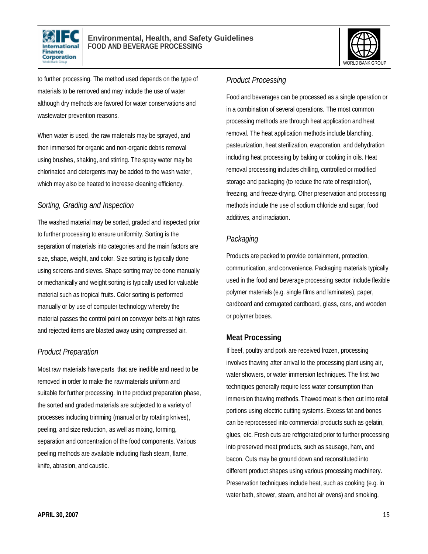



to further processing. The method used depends on the type of materials to be removed and may include the use of water although dry methods are favored for water conservations and wastewater prevention reasons.

When water is used, the raw materials may be sprayed, and then immersed for organic and non-organic debris removal using brushes, shaking, and stirring. The spray water may be chlorinated and detergents may be added to the wash water, which may also be heated to increase cleaning efficiency.

#### *Sorting, Grading and Inspection*

The washed material may be sorted, graded and inspected prior to further processing to ensure uniformity. Sorting is the separation of materials into categories and the main factors are size, shape, weight, and color. Size sorting is typically done using screens and sieves. Shape sorting may be done manually or mechanically and weight sorting is typically used for valuable material such as tropical fruits. Color sorting is performed manually or by use of computer technology whereby the material passes the control point on conveyor belts at high rates and rejected items are blasted away using compressed air.

#### *Product Preparation*

Most raw materials have parts that are inedible and need to be removed in order to make the raw materials uniform and suitable for further processing. In the product preparation phase, the sorted and graded materials are subjected to a variety of processes including trimming (manual or by rotating knives), peeling, and size reduction, as well as mixing, forming, separation and concentration of the food components. Various peeling methods are available including flash steam, flame, knife, abrasion, and caustic.

#### *Product Processing*

Food and beverages can be processed as a single operation or in a combination of several operations. The most common processing methods are through heat application and heat removal. The heat application methods include blanching, pasteurization, heat sterilization, evaporation, and dehydration including heat processing by baking or cooking in oils. Heat removal processing includes chilling, controlled or modified storage and packaging (to reduce the rate of respiration), freezing, and freeze-drying. Other preservation and processing methods include the use of sodium chloride and sugar, food additives, and irradiation.

#### *Packaging*

Products are packed to provide containment, protection, communication, and convenience. Packaging materials typically used in the food and beverage processing sector include flexible polymer materials (e.g. single films and laminates), paper, cardboard and corrugated cardboard, glass, cans, and wooden or polymer boxes.

### **Meat Processing**

If beef, poultry and pork are received frozen, processing involves thawing after arrival to the processing plant using air, water showers, or water immersion techniques. The first two techniques generally require less water consumption than immersion thawing methods. Thawed meat is then cut into retail portions using electric cutting systems. Excess fat and bones can be reprocessed into commercial products such as gelatin, glues, etc. Fresh cuts are refrigerated prior to further processing into preserved meat products, such as sausage, ham, and bacon. Cuts may be ground down and reconstituted into different product shapes using various processing machinery. Preservation techniques include heat, such as cooking (e.g. in water bath, shower, steam, and hot air ovens) and smoking,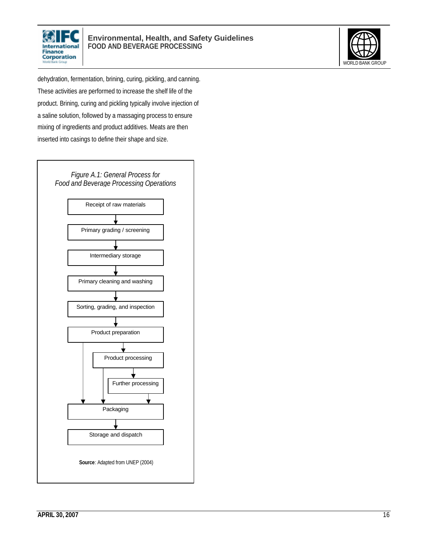



dehydration, fermentation, brining, curing, pickling, and canning. These activities are performed to increase the shelf life of the product. Brining, curing and pickling typically involve injection of a saline solution, followed by a massaging process to ensure mixing of ingredients and product additives. Meats are then inserted into casings to define their shape and size.